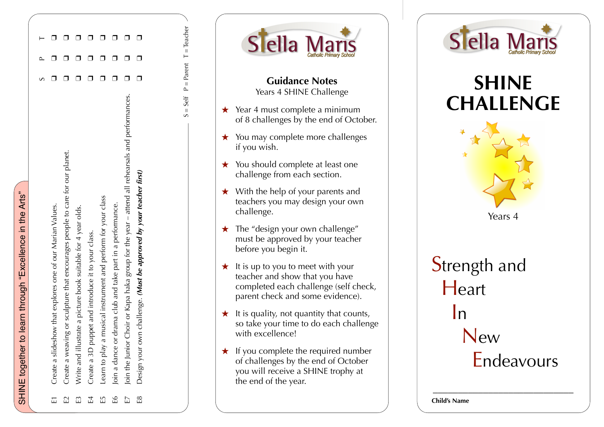| $S = Self$ P = Parent T = Teacher |  |
|-----------------------------------|--|
|                                   |  |
|                                   |  |
|                                   |  |
|                                   |  |
|                                   |  |
|                                   |  |
|                                   |  |
|                                   |  |
|                                   |  |
|                                   |  |
|                                   |  |
|                                   |  |
|                                   |  |
|                                   |  |
|                                   |  |
|                                   |  |
|                                   |  |
|                                   |  |
|                                   |  |
|                                   |  |
|                                   |  |
|                                   |  |
|                                   |  |
|                                   |  |
|                                   |  |
|                                   |  |
|                                   |  |
|                                   |  |
|                                   |  |
|                                   |  |
|                                   |  |
|                                   |  |
|                                   |  |
|                                   |  |
|                                   |  |
|                                   |  |
|                                   |  |
|                                   |  |
|                                   |  |
|                                   |  |
|                                   |  |
|                                   |  |
|                                   |  |
|                                   |  |
|                                   |  |
|                                   |  |
|                                   |  |
|                                   |  |
|                                   |  |
|                                   |  |
|                                   |  |
|                                   |  |
|                                   |  |
|                                   |  |
|                                   |  |
|                                   |  |
|                                   |  |
|                                   |  |
|                                   |  |
|                                   |  |
|                                   |  |
|                                   |  |
|                                   |  |
|                                   |  |
|                                   |  |
|                                   |  |
|                                   |  |
|                                   |  |





## **SHINE CHALLENGE**



Endeavours

\_\_\_\_\_\_\_\_\_\_\_\_\_\_\_\_\_\_\_\_\_\_\_\_\_\_\_\_

**Child's Name**